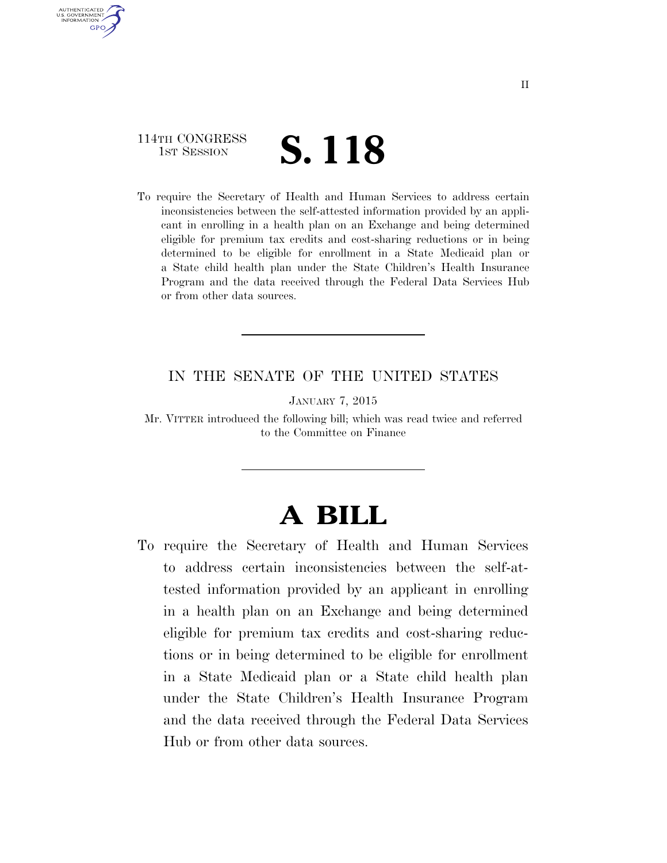### 114TH CONGRESS **1**ST SESSION **S. 118**

AUTHENTICATED U.S. GOVERNMENT **GPO** 

> To require the Secretary of Health and Human Services to address certain inconsistencies between the self-attested information provided by an applicant in enrolling in a health plan on an Exchange and being determined eligible for premium tax credits and cost-sharing reductions or in being determined to be eligible for enrollment in a State Medicaid plan or a State child health plan under the State Children's Health Insurance Program and the data received through the Federal Data Services Hub or from other data sources.

#### IN THE SENATE OF THE UNITED STATES

JANUARY 7, 2015

Mr. VITTER introduced the following bill; which was read twice and referred to the Committee on Finance

# **A BILL**

To require the Secretary of Health and Human Services to address certain inconsistencies between the self-attested information provided by an applicant in enrolling in a health plan on an Exchange and being determined eligible for premium tax credits and cost-sharing reductions or in being determined to be eligible for enrollment in a State Medicaid plan or a State child health plan under the State Children's Health Insurance Program and the data received through the Federal Data Services Hub or from other data sources.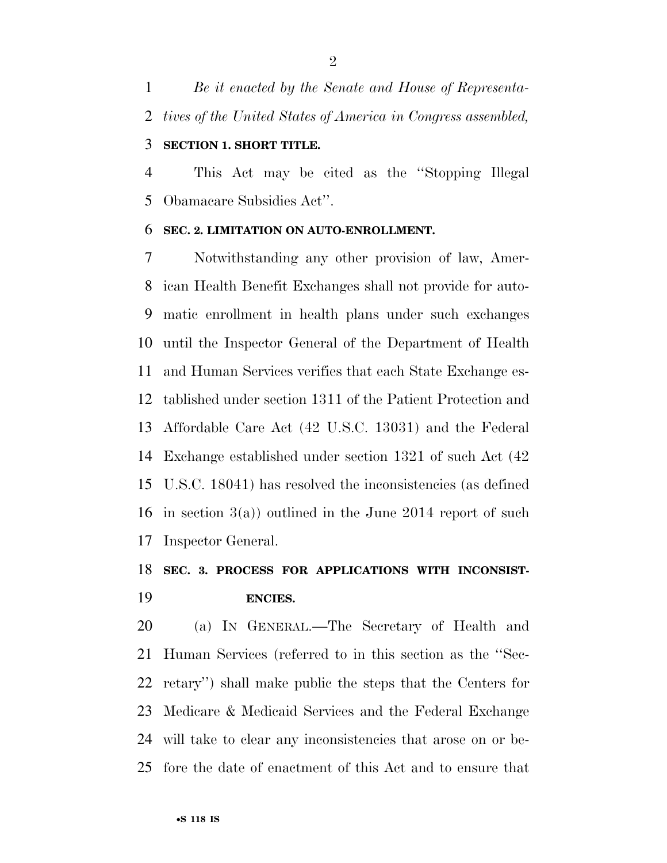*Be it enacted by the Senate and House of Representa-tives of the United States of America in Congress assembled,* 

#### **SECTION 1. SHORT TITLE.**

 This Act may be cited as the ''Stopping Illegal Obamacare Subsidies Act''.

#### **SEC. 2. LIMITATION ON AUTO-ENROLLMENT.**

 Notwithstanding any other provision of law, Amer- ican Health Benefit Exchanges shall not provide for auto- matic enrollment in health plans under such exchanges until the Inspector General of the Department of Health and Human Services verifies that each State Exchange es- tablished under section 1311 of the Patient Protection and Affordable Care Act (42 U.S.C. 13031) and the Federal Exchange established under section 1321 of such Act (42 U.S.C. 18041) has resolved the inconsistencies (as defined in section 3(a)) outlined in the June 2014 report of such Inspector General.

## **SEC. 3. PROCESS FOR APPLICATIONS WITH INCONSIST-ENCIES.**

 (a) IN GENERAL.—The Secretary of Health and Human Services (referred to in this section as the ''Sec- retary'') shall make public the steps that the Centers for Medicare & Medicaid Services and the Federal Exchange will take to clear any inconsistencies that arose on or be-fore the date of enactment of this Act and to ensure that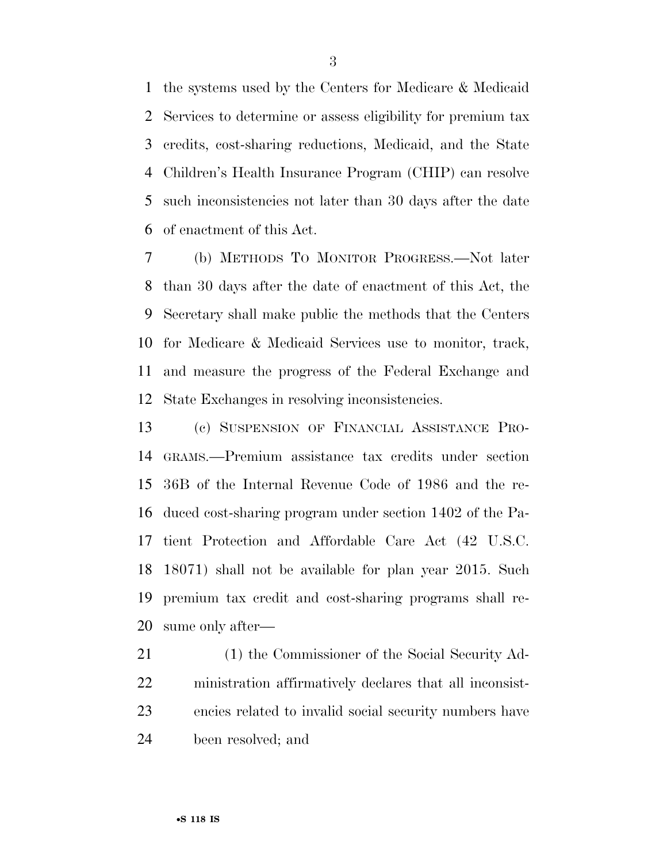the systems used by the Centers for Medicare & Medicaid Services to determine or assess eligibility for premium tax credits, cost-sharing reductions, Medicaid, and the State Children's Health Insurance Program (CHIP) can resolve such inconsistencies not later than 30 days after the date of enactment of this Act.

 (b) METHODS TO MONITOR PROGRESS.—Not later than 30 days after the date of enactment of this Act, the Secretary shall make public the methods that the Centers for Medicare & Medicaid Services use to monitor, track, and measure the progress of the Federal Exchange and State Exchanges in resolving inconsistencies.

 (c) SUSPENSION OF FINANCIAL ASSISTANCE PRO- GRAMS.—Premium assistance tax credits under section 36B of the Internal Revenue Code of 1986 and the re- duced cost-sharing program under section 1402 of the Pa- tient Protection and Affordable Care Act (42 U.S.C. 18071) shall not be available for plan year 2015. Such premium tax credit and cost-sharing programs shall re-sume only after—

 (1) the Commissioner of the Social Security Ad- ministration affirmatively declares that all inconsist- encies related to invalid social security numbers have been resolved; and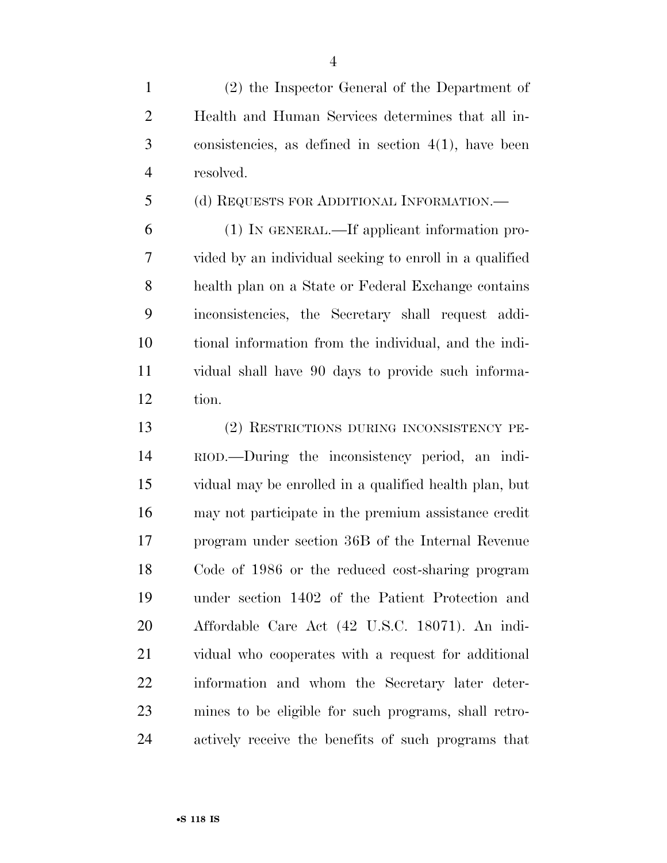(2) the Inspector General of the Department of Health and Human Services determines that all in- consistencies, as defined in section 4(1), have been resolved.

(d) REQUESTS FOR ADDITIONAL INFORMATION.—

 (1) IN GENERAL.—If applicant information pro- vided by an individual seeking to enroll in a qualified health plan on a State or Federal Exchange contains inconsistencies, the Secretary shall request addi- tional information from the individual, and the indi- vidual shall have 90 days to provide such informa-tion.

 (2) RESTRICTIONS DURING INCONSISTENCY PE- RIOD.—During the inconsistency period, an indi- vidual may be enrolled in a qualified health plan, but may not participate in the premium assistance credit program under section 36B of the Internal Revenue Code of 1986 or the reduced cost-sharing program under section 1402 of the Patient Protection and Affordable Care Act (42 U.S.C. 18071). An indi- vidual who cooperates with a request for additional information and whom the Secretary later deter- mines to be eligible for such programs, shall retro-actively receive the benefits of such programs that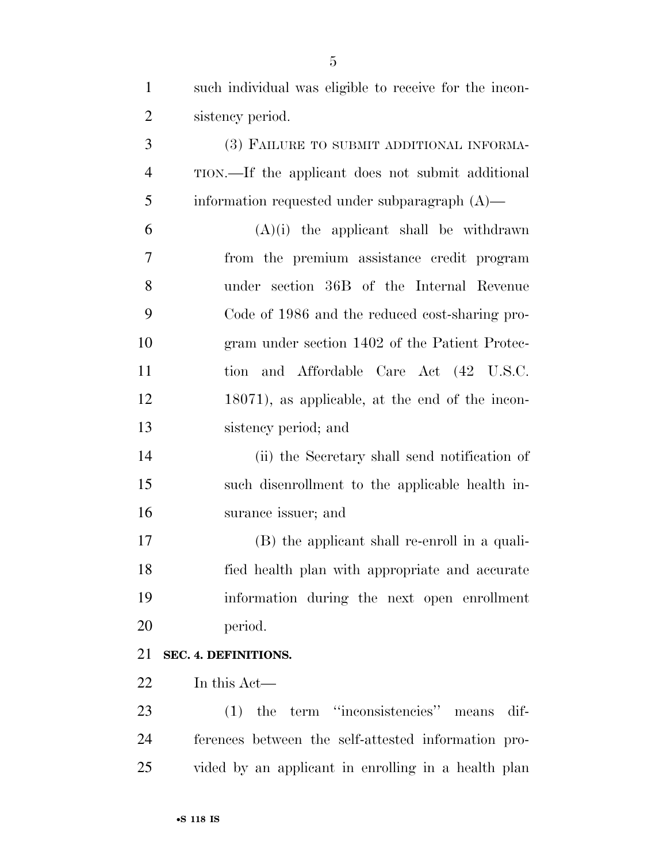| $\mathbf{1}$   | such individual was eligible to receive for the incon- |
|----------------|--------------------------------------------------------|
| $\overline{2}$ | sistency period.                                       |
| 3              | (3) FAILURE TO SUBMIT ADDITIONAL INFORMA-              |
| $\overline{4}$ | TION.—If the applicant does not submit additional      |
| 5              | information requested under subparagraph $(A)$ —       |
| 6              | $(A)(i)$ the applicant shall be withdrawn              |
| 7              | from the premium assistance credit program             |
| 8              | under section 36B of the Internal Revenue              |
| 9              | Code of 1986 and the reduced cost-sharing pro-         |
| 10             | gram under section 1402 of the Patient Protec-         |
| 11             | and Affordable Care Act (42 U.S.C.<br>tion             |
| 12             | 18071), as applicable, at the end of the incon-        |
| 13             | sistency period; and                                   |
| 14             | (ii) the Secretary shall send notification of          |
| 15             | such disenrollment to the applicable health in-        |
| 16             | surance issuer; and                                    |
| 17             | (B) the applicant shall re-enroll in a quali-          |
| 18             | fied health plan with appropriate and accurate         |
| 19             | information during the next open enrollment            |
| 20             | period.                                                |
| 21             | SEC. 4. DEFINITIONS.                                   |
| 22             | In this Act—                                           |
| 23             | $(1)$ the term "inconsistencies" means<br>dif-         |
| 24             | ferences between the self-attested information pro-    |
| 25             | vided by an applicant in enrolling in a health plan    |